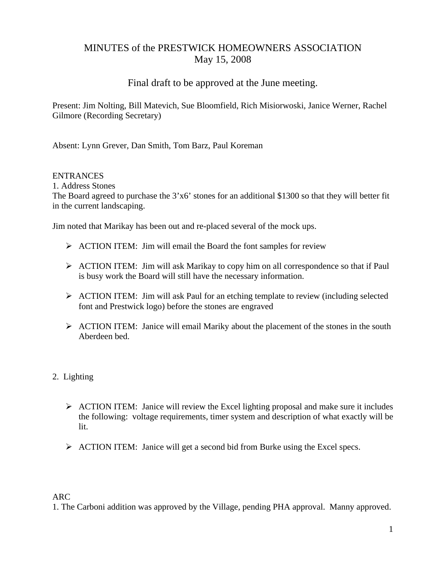# MINUTES of the PRESTWICK HOMEOWNERS ASSOCIATION May 15, 2008

## Final draft to be approved at the June meeting.

Present: Jim Nolting, Bill Matevich, Sue Bloomfield, Rich Misiorwoski, Janice Werner, Rachel Gilmore (Recording Secretary)

Absent: Lynn Grever, Dan Smith, Tom Barz, Paul Koreman

### ENTRANCES

1. Address Stones The Board agreed to purchase the 3'x6' stones for an additional \$1300 so that they will better fit in the current landscaping.

Jim noted that Marikay has been out and re-placed several of the mock ups.

- $\triangleright$  ACTION ITEM: Jim will email the Board the font samples for review
- $\triangleright$  ACTION ITEM: Jim will ask Marikay to copy him on all correspondence so that if Paul is busy work the Board will still have the necessary information.
- ¾ ACTION ITEM: Jim will ask Paul for an etching template to review (including selected font and Prestwick logo) before the stones are engraved
- $\triangleright$  ACTION ITEM: Janice will email Mariky about the placement of the stones in the south Aberdeen bed.
- 2. Lighting
	- $\triangleright$  ACTION ITEM: Janice will review the Excel lighting proposal and make sure it includes the following: voltage requirements, timer system and description of what exactly will be lit.
	- $\triangleright$  ACTION ITEM: Janice will get a second bid from Burke using the Excel specs.

### ARC

1. The Carboni addition was approved by the Village, pending PHA approval. Manny approved.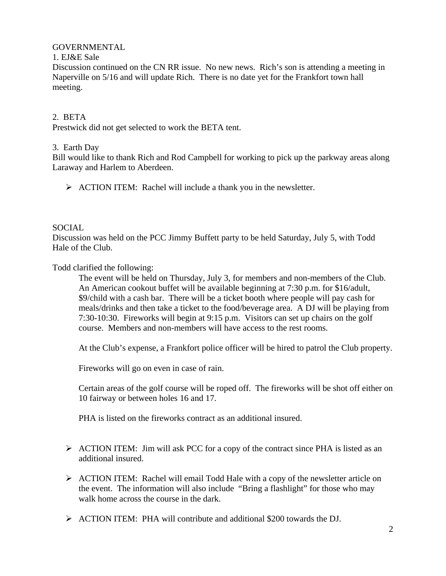### GOVERNMENTAL

#### 1. EJ&E Sale

Discussion continued on the CN RR issue. No new news. Rich's son is attending a meeting in Naperville on 5/16 and will update Rich. There is no date yet for the Frankfort town hall meeting.

### 2. BETA

Prestwick did not get selected to work the BETA tent.

### 3. Earth Day

Bill would like to thank Rich and Rod Campbell for working to pick up the parkway areas along Laraway and Harlem to Aberdeen.

¾ ACTION ITEM: Rachel will include a thank you in the newsletter.

### SOCIAL

Discussion was held on the PCC Jimmy Buffett party to be held Saturday, July 5, with Todd Hale of the Club.

Todd clarified the following:

The event will be held on Thursday, July 3, for members and non-members of the Club. An American cookout buffet will be available beginning at 7:30 p.m. for \$16/adult, \$9/child with a cash bar. There will be a ticket booth where people will pay cash for meals/drinks and then take a ticket to the food/beverage area. A DJ will be playing from 7:30-10:30. Fireworks will begin at 9:15 p.m. Visitors can set up chairs on the golf course. Members and non-members will have access to the rest rooms.

At the Club's expense, a Frankfort police officer will be hired to patrol the Club property.

Fireworks will go on even in case of rain.

Certain areas of the golf course will be roped off. The fireworks will be shot off either on 10 fairway or between holes 16 and 17.

PHA is listed on the fireworks contract as an additional insured.

- ¾ ACTION ITEM: Jim will ask PCC for a copy of the contract since PHA is listed as an additional insured.
- ¾ ACTION ITEM: Rachel will email Todd Hale with a copy of the newsletter article on the event. The information will also include "Bring a flashlight" for those who may walk home across the course in the dark.
- $\triangleright$  ACTION ITEM: PHA will contribute and additional \$200 towards the DJ.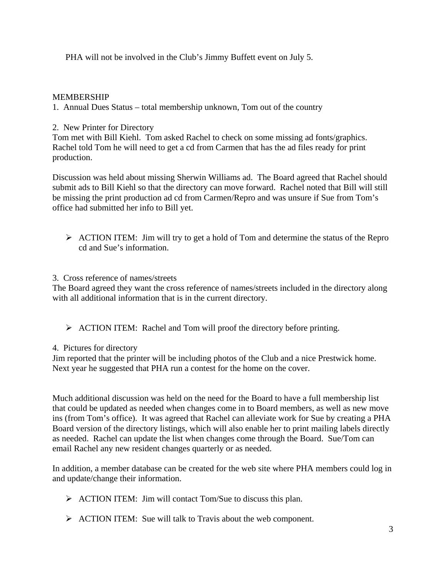PHA will not be involved in the Club's Jimmy Buffett event on July 5.

### MEMBERSHIP

1. Annual Dues Status – total membership unknown, Tom out of the country

### 2. New Printer for Directory

Tom met with Bill Kiehl. Tom asked Rachel to check on some missing ad fonts/graphics. Rachel told Tom he will need to get a cd from Carmen that has the ad files ready for print production.

Discussion was held about missing Sherwin Williams ad. The Board agreed that Rachel should submit ads to Bill Kiehl so that the directory can move forward. Rachel noted that Bill will still be missing the print production ad cd from Carmen/Repro and was unsure if Sue from Tom's office had submitted her info to Bill yet.

 $\triangleright$  ACTION ITEM: Jim will try to get a hold of Tom and determine the status of the Repro cd and Sue's information.

### 3. Cross reference of names/streets

The Board agreed they want the cross reference of names/streets included in the directory along with all additional information that is in the current directory.

 $\triangleright$  ACTION ITEM: Rachel and Tom will proof the directory before printing.

### 4. Pictures for directory

Jim reported that the printer will be including photos of the Club and a nice Prestwick home. Next year he suggested that PHA run a contest for the home on the cover.

Much additional discussion was held on the need for the Board to have a full membership list that could be updated as needed when changes come in to Board members, as well as new move ins (from Tom's office). It was agreed that Rachel can alleviate work for Sue by creating a PHA Board version of the directory listings, which will also enable her to print mailing labels directly as needed. Rachel can update the list when changes come through the Board. Sue/Tom can email Rachel any new resident changes quarterly or as needed.

In addition, a member database can be created for the web site where PHA members could log in and update/change their information.

- $\triangleright$  ACTION ITEM: Jim will contact Tom/Sue to discuss this plan.
- ¾ ACTION ITEM: Sue will talk to Travis about the web component.